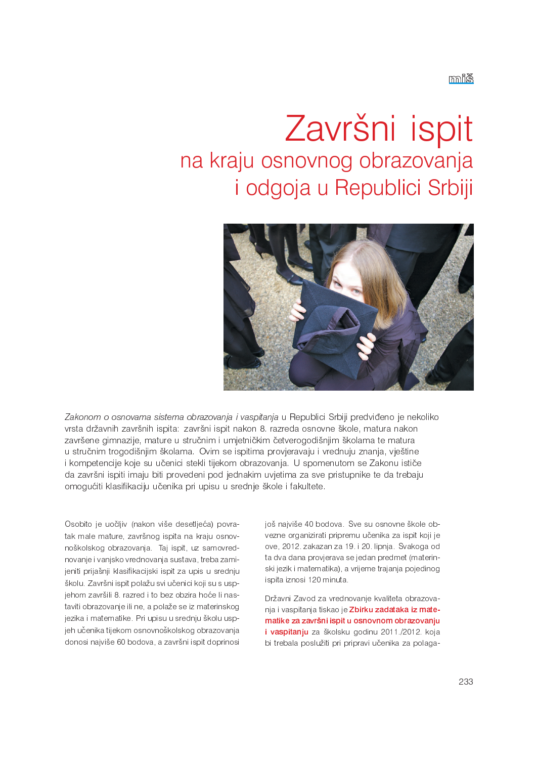## Završni ispit na kraju osnovnog obrazovanja i odgoja u Republici Srbiji



Zakonom o osnovama sistema obrazovanja i vaspitanja u Republici Srbiji predviđeno je nekoliko vrsta državnih završnih ispita: završni ispit nakon 8. razreda osnovne škole, matura nakon završene gimnazije, mature u stručnim i umjetničkim četverogodišnjim školama te matura u stručnim trogodišnjim školama. Ovim se ispitima provjeravaju i vrednuju znanja, vještine i kompetencije koje su učenici stekli tijekom obrazovanja. U spomenutom se Zakonu ističe da završni ispiti imaju biti provedeni pod jednakim uvjetima za sve pristupnike te da trebaju omogućiti klasifikaciju učenika pri upisu u srednje škole i fakultete.

Osobito je uočljiv (nakon više desetljeća) povratak male mature, završnog ispita na kraju osnovnoškolskog obrazovanja. Taj ispit, uz samovrednovanje i vanjsko vrednovanja sustava, treba zamijeniti prijašnji klasifikacijski ispit za upis u srednju školu. Završni ispit polažu svi učenici koji su s uspjehom završili 8. razred i to bez obzira hoće li nastaviti obrazovanje ili ne, a polaže se iz materinskog jezika i matematike. Pri upisu u srednju školu uspjeh učenika tijekom osnovnoškolskog obrazovanja donosi najviše 60 bodova, a završni ispit doprinosi još najviše 40 bodova. Sve su osnovne škole obvezne organizirati pripremu učenika za ispit koji je ove, 2012. zakazan za 19. i 20. lipnja. Svakoga od ta dva dana provjerava se jedan predmet (materinski jezik i matematika), a vrijeme trajanja pojedinog ispita iznosi 120 minuta.

Državni Zavod za vrednovanje kvaliteta obrazovanja i vaspitanja tiskao je Zbirku zadataka iz matematike za završni ispit u osnovnom obrazovanju i vaspitanju za školsku godinu 2011 /2012 koja bi trebala poslužiti pri pripravi učenika za polaga-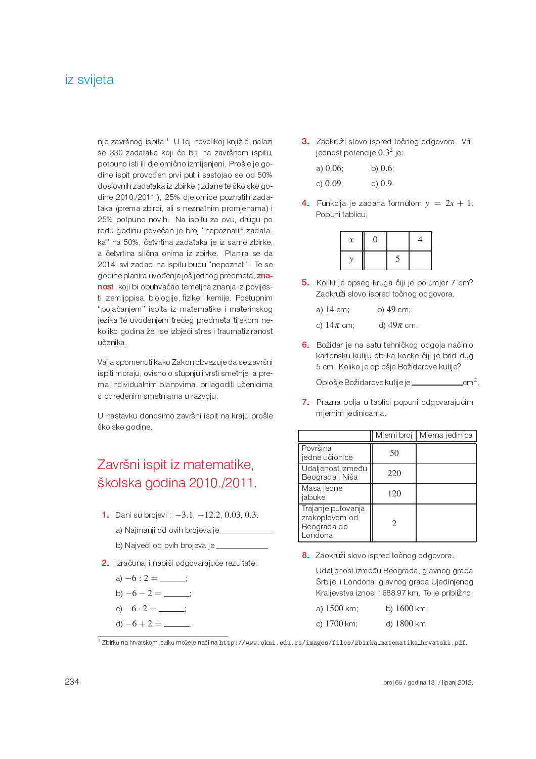## iz svijeta

nje završnog ispita<sup>1</sup> U toj nevelikoj knjižici nalazi se 330 zadataka koji će biti na završnom ispitu, potpuno isti ili djelomično izmijenjeni. Prošle je godine ispit provođen prvi put i sastojao se od 50% doslovnih zadataka iz zbirke (izdane te školske godine 2010./2011.), 25% djelomice poznatih zadataka (prema zbirci, ali s neznatnim promjenama) i 25% potpuno novih. Na ispitu za ovu, drugu po redu godinu povećan je broj "nepoznatih zadataka" na 50%, četvrtina zadataka je iz same zbirke, a četvrtina slična onima iz zbirke. Planira se da 2014. svi zadaci na ispitu budu "nepoznati". Te se godine planira uvođenje još jednog predmeta, znanost koji bi obuhvaćao temeljna znanja iz povijesti, zemljopisa, biologije, fizike i kemije. Postupnim "pojačanjem" ispita iz matematike i materinskog jezika te uvođenjem trećeg predmeta tijekom nekoliko godina želi se izbjeći stres i traumatiziranost učenika.

Valja spomenuti kako Zakon obvezuje da se završni ispiti moraju, ovisno o stupnju i vrsti smetnje, a prema individualnim planovima, prilagoditi učenicima s određenim smetnjama u razvoju.

U nastavku donosimo završni ispit na kraju prošle školske godine.

## Završni ispit iz matematike. školska godina 2010./2011.

- 1. Dani su brojevi:  $-3.1$ ,  $-12.2$ , 0.03, 0.3.
	- a) Najmanji od ovih brojeva je \_\_\_\_ b) Najveći od ovih brojeva je \_\_\_\_\_\_\_\_\_\_
- 2. Izračunaj i napiši odgovarajuće rezultate:
	- a)  $-6:2=\underline{\qquad}$
	- b)  $-6 2 =$
	-
	-
	-
- 3. Zaokruži slovo ispred točnog odgovora. Vrijednost potencije  $0.3^2$  je:
	- a)  $0.06$ b)  $0.6$
	- c)  $0.09$  $d$ )  $0.9$
- 4. Funkcija je zadana formulom  $y = 2x + 1$ . Popuni tablicu:

- 5. Koliki je opseg kruga čiji je polumjer 7 cm? Zaokruži slovo ispred točnog odgovora.
	- a) 14 cm; b) 49 cm;
	- c)  $14\pi$  cm; d)  $49\pi$  cm.
- 6. Božidar je na satu tehničkog odgoja načinio kartonsku kutiju oblika kocke čiji je brid dug 5 cm. Koliko je oplošje Božidarove kutije?

Oplošje Božidarove kutije je \_\_\_\_\_\_\_\_\_\_\_\_\_\_\_\_\_cm<sup>2</sup>.

7. Prazna polja u tablici popuni odgovarajućim mjernim jedinicama.

|                                                                | Mjerni broj | Mjerna jedinica |
|----------------------------------------------------------------|-------------|-----------------|
| Površina<br>jedne učionice                                     | 50          |                 |
| Udaljenost između<br>Beograda i Niša                           | 220         |                 |
| Masa jedne<br>jabuke                                           | 120         |                 |
| Trajanje putovanja<br>zrakoplovom od<br>Beograda do<br>Londona |             |                 |

8. Zaokruži slovo ispred točnog odgovora.

Udaljenost između Beograda, glavnog grada Srbije, i Londona, glavnog grada Ujedinjenog Kraljevstva iznosi 1688.97 km. To je približno:

| a) $1500 \text{ km}$ ; | b) $1600 \, \text{km}$ |
|------------------------|------------------------|
| c) 1700 km;            | d) 1800 km.            |

1<br>1 Zbirku na hrvatskom jeziku možete naći na http://www.okni.edu.rs/images/files/zbirka\_matematika\_hrvatski.pdf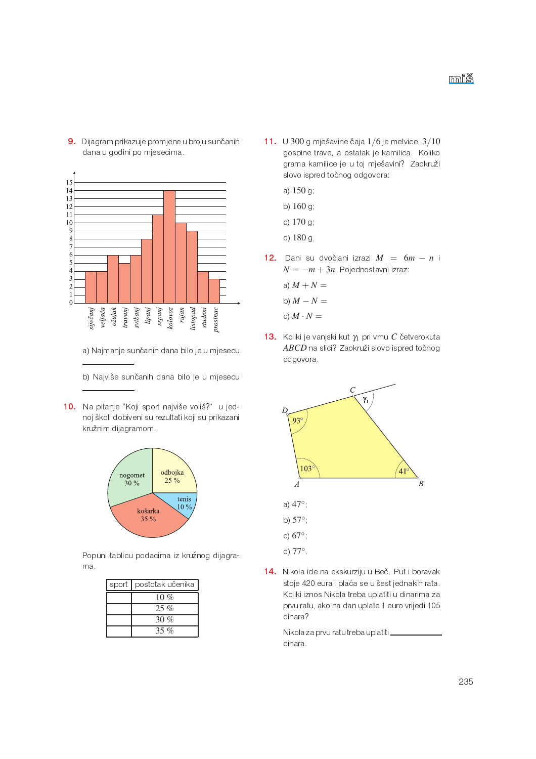9. Dijagram prikazuje promjene u broju sunčanih dana u godini po mjesecima.



- a) Najmanje sunčanih dana bilo je u mjesecu
- b) Najviše sunčanih dana bilo je u mjesecu
- 10. Na pitanje "Koji sport najviše voliš?" u jednoj školi dobiveni su rezultati koji su prikazani kružnim dijagramom.



Popuni tablicu podacima iz kružnog dijagrama.

| sport   postotak učenika |
|--------------------------|
| 10 %                     |
| $25\%$                   |
| 30 $\%$                  |
| 35 %                     |

- 11. U 300 g mješavine čaja  $1/6$  je metvice  $3/10$ gospine trave, a ostatak je kamilica. Koliko grama kamilice je u toj mješavini? Zaokruži slovo ispred točnog odgovora:
	- a) 150 g
	- b) 160 g
	- c) 170 g
	- d) 180 g.
- 12. Dani su dvočlani izrazi  $M = 6m n$  i  $N = -m + 3n$ . Pojednostavni izraz:
	- a)  $M + N =$
	- b)  $M N =$
	- c)  $M \cdot N =$
- 13. Koliki je vanjski kut  $\gamma_1$  pri vrhu C četverokuta ABCD na slici? Zaokruži slovo ispred točnog odgovora.



14. Nikola ide na ekskurziju u Beč. Put i boravak stoje 420 eura i plaća se u šest jednakih rata. Koliki iznos Nikola treba uplatiti u dinarima za prvu ratu, ako na dan uplate 1 euro vrijedi 105 dinara?

> Nikolaza prvu ratu treba uplatiti\_ dinara.